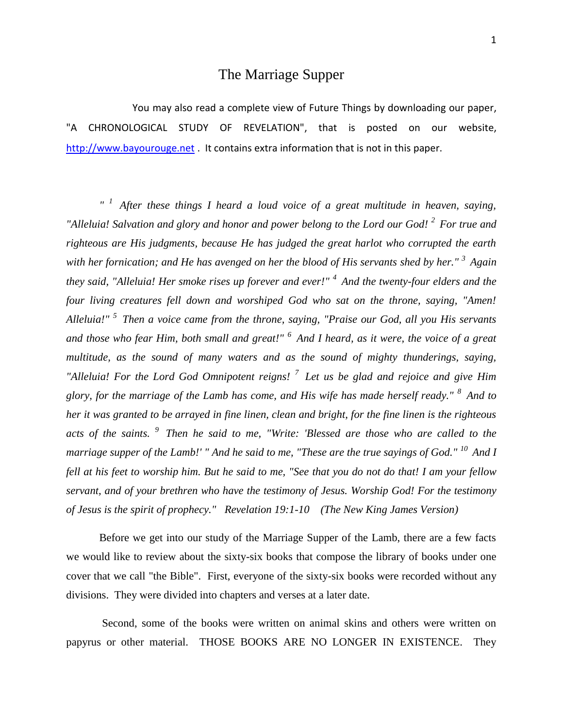## The Marriage Supper

You may also read a complete view of Future Things by downloading our paper, "A CHRONOLOGICAL STUDY OF REVELATION", that is posted on our website, [http://www.bayourouge.net](http://www.bayourouge.net/) . It contains extra information that is not in this paper.

*" <sup>1</sup>After these things I heard a loud voice of a great multitude in heaven, saying, "Alleluia! Salvation and glory and honor and power belong to the Lord our God! <sup>2</sup>For true and righteous are His judgments, because He has judged the great harlot who corrupted the earth with her fornication; and He has avenged on her the blood of His servants shed by her." <sup>3</sup>Again they said, "Alleluia! Her smoke rises up forever and ever!" <sup>4</sup>And the twenty-four elders and the four living creatures fell down and worshiped God who sat on the throne, saying, "Amen! Alleluia!" <sup>5</sup>Then a voice came from the throne, saying, "Praise our God, all you His servants and those who fear Him, both small and great!" <sup>6</sup>And I heard, as it were, the voice of a great multitude, as the sound of many waters and as the sound of mighty thunderings, saying, "Alleluia! For the Lord God Omnipotent reigns! <sup>7</sup>Let us be glad and rejoice and give Him glory, for the marriage of the Lamb has come, and His wife has made herself ready." <sup>8</sup>And to her it was granted to be arrayed in fine linen, clean and bright, for the fine linen is the righteous acts of the saints. <sup>9</sup>Then he said to me, "Write: 'Blessed are those who are called to the marriage supper of the Lamb!' " And he said to me, "These are the true sayings of God." <sup>10</sup>And I fell at his feet to worship him. But he said to me, "See that you do not do that! I am your fellow servant, and of your brethren who have the testimony of Jesus. Worship God! For the testimony of Jesus is the spirit of prophecy." Revelation 19:1-10 (The New King James Version)* 

Before we get into our study of the Marriage Supper of the Lamb, there are a few facts we would like to review about the sixty-six books that compose the library of books under one cover that we call "the Bible". First, everyone of the sixty-six books were recorded without any divisions. They were divided into chapters and verses at a later date.

Second, some of the books were written on animal skins and others were written on papyrus or other material. THOSE BOOKS ARE NO LONGER IN EXISTENCE. They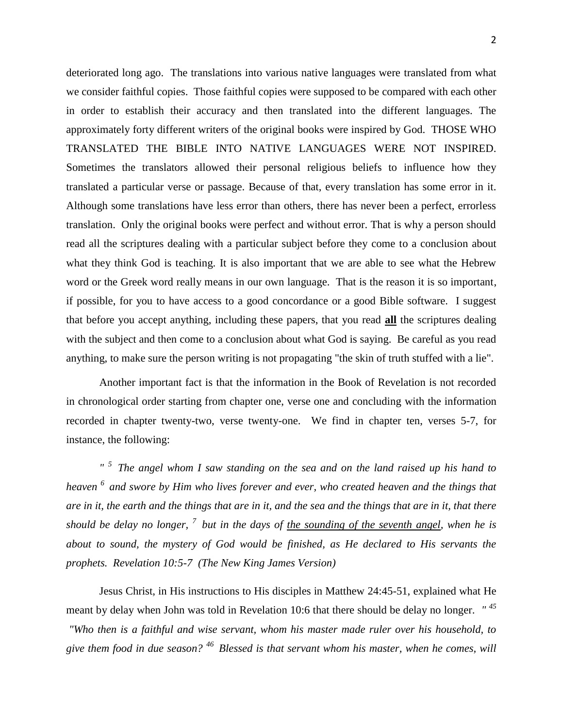deteriorated long ago. The translations into various native languages were translated from what we consider faithful copies. Those faithful copies were supposed to be compared with each other in order to establish their accuracy and then translated into the different languages. The approximately forty different writers of the original books were inspired by God. THOSE WHO TRANSLATED THE BIBLE INTO NATIVE LANGUAGES WERE NOT INSPIRED. Sometimes the translators allowed their personal religious beliefs to influence how they translated a particular verse or passage. Because of that, every translation has some error in it. Although some translations have less error than others, there has never been a perfect, errorless translation. Only the original books were perfect and without error. That is why a person should read all the scriptures dealing with a particular subject before they come to a conclusion about what they think God is teaching. It is also important that we are able to see what the Hebrew word or the Greek word really means in our own language. That is the reason it is so important, if possible, for you to have access to a good concordance or a good Bible software. I suggest that before you accept anything, including these papers, that you read **all** the scriptures dealing with the subject and then come to a conclusion about what God is saying. Be careful as you read anything, to make sure the person writing is not propagating "the skin of truth stuffed with a lie".

Another important fact is that the information in the Book of Revelation is not recorded in chronological order starting from chapter one, verse one and concluding with the information recorded in chapter twenty-two, verse twenty-one. We find in chapter ten, verses 5-7, for instance, the following:

*" <sup>5</sup>The angel whom I saw standing on the sea and on the land raised up his hand to heaven <sup>6</sup>and swore by Him who lives forever and ever, who created heaven and the things that are in it, the earth and the things that are in it, and the sea and the things that are in it, that there should be delay no longer, <sup>7</sup>but in the days of the sounding of the seventh angel, when he is about to sound, the mystery of God would be finished, as He declared to His servants the prophets. Revelation 10:5-7 (The New King James Version)* 

Jesus Christ, in His instructions to His disciples in Matthew 24:45-51, explained what He meant by delay when John was told in Revelation 10:6 that there should be delay no longer. *" <sup>45</sup> "Who then is a faithful and wise servant, whom his master made ruler over his household, to give them food in due season? <sup>46</sup>Blessed is that servant whom his master, when he comes, will*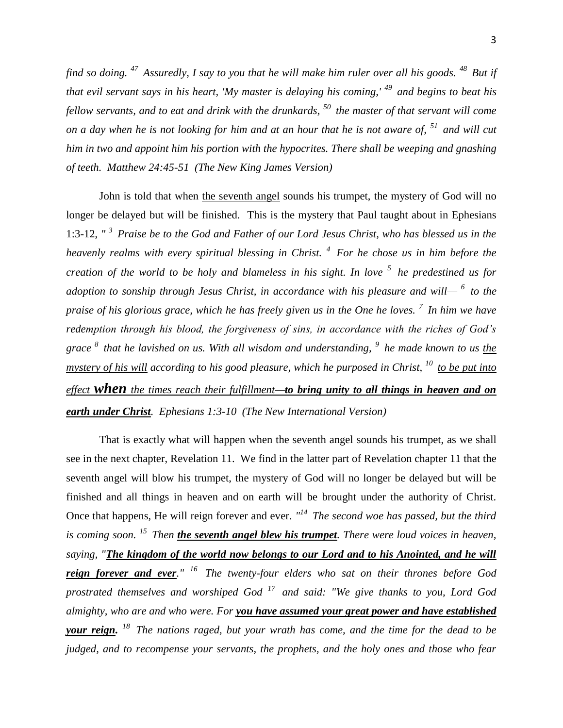*find so doing. <sup>47</sup>Assuredly, I say to you that he will make him ruler over all his goods. <sup>48</sup>But if that evil servant says in his heart, 'My master is delaying his coming,' <sup>49</sup>and begins to beat his fellow servants, and to eat and drink with the drunkards, <sup>50</sup>the master of that servant will come on a day when he is not looking for him and at an hour that he is not aware of, <sup>51</sup>and will cut him in two and appoint him his portion with the hypocrites. There shall be weeping and gnashing of teeth. Matthew 24:45-51 (The New King James Version)* 

John is told that when the seventh angel sounds his trumpet, the mystery of God will no longer be delayed but will be finished. This is the mystery that Paul taught about in Ephesians 1:3-12, *" <sup>3</sup>Praise be to the God and Father of our Lord Jesus Christ, who has blessed us in the heavenly realms with every spiritual blessing in Christ. <sup>4</sup>For he chose us in him before the creation of the world to be holy and blameless in his sight. In love <sup>5</sup>he predestined us for adoption to sonship through Jesus Christ, in accordance with his pleasure and will— <sup>6</sup>to the praise of his glorious grace, which he has freely given us in the One he loves. <sup>7</sup>In him we have redemption through his blood, the forgiveness of sins, in accordance with the riches of God's grace <sup>8</sup>that he lavished on us. With all wisdom and understanding, <sup>9</sup>he made known to us the mystery of his will according to his good pleasure, which he purposed in Christ, <sup>10</sup>to be put into effect when the times reach their fulfillment—to bring unity to all things in heaven and on earth under Christ. Ephesians 1:3-10 (The New International Version)* 

That is exactly what will happen when the seventh angel sounds his trumpet, as we shall see in the next chapter, Revelation 11. We find in the latter part of Revelation chapter 11 that the seventh angel will blow his trumpet, the mystery of God will no longer be delayed but will be finished and all things in heaven and on earth will be brought under the authority of Christ. Once that happens, He will reign forever and ever. *" <sup>14</sup>The second woe has passed, but the third is coming soon. <sup>15</sup>Then the seventh angel blew his trumpet. There were loud voices in heaven, saying, "The kingdom of the world now belongs to our Lord and to his Anointed, and he will reign forever and ever." <sup>16</sup>The twenty-four elders who sat on their thrones before God prostrated themselves and worshiped God <sup>17</sup>and said: "We give thanks to you, Lord God almighty, who are and who were. For you have assumed your great power and have established your reign. <sup>18</sup>The nations raged, but your wrath has come, and the time for the dead to be judged, and to recompense your servants, the prophets, and the holy ones and those who fear*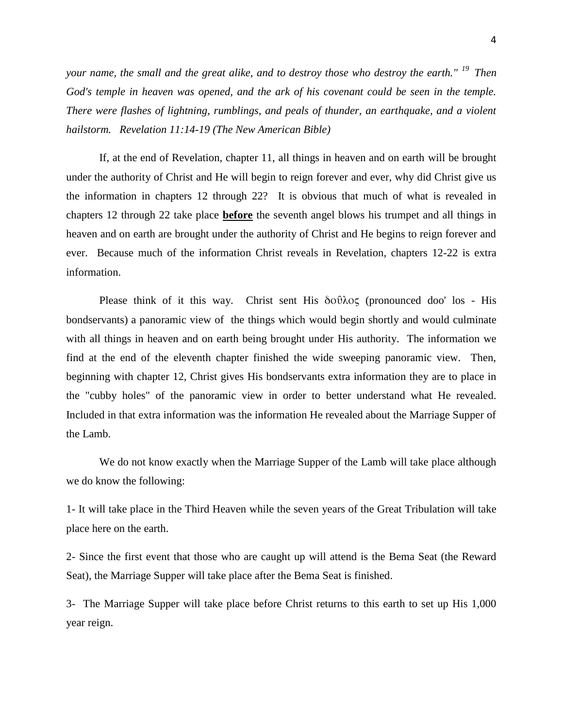4

*your name, the small and the great alike, and to destroy those who destroy the earth." <sup>19</sup>Then God's temple in heaven was opened, and the ark of his covenant could be seen in the temple. There were flashes of lightning, rumblings, and peals of thunder, an earthquake, and a violent hailstorm. Revelation 11:14-19 (The New American Bible)* 

If, at the end of Revelation, chapter 11, all things in heaven and on earth will be brought under the authority of Christ and He will begin to reign forever and ever, why did Christ give us the information in chapters 12 through 22? It is obvious that much of what is revealed in chapters 12 through 22 take place **before** the seventh angel blows his trumpet and all things in heaven and on earth are brought under the authority of Christ and He begins to reign forever and ever. Because much of the information Christ reveals in Revelation, chapters 12-22 is extra information.

Please think of it this way. Christ sent His δοῦλος (pronounced doo' los - His bondservants) a panoramic view of the things which would begin shortly and would culminate with all things in heaven and on earth being brought under His authority. The information we find at the end of the eleventh chapter finished the wide sweeping panoramic view. Then, beginning with chapter 12, Christ gives His bondservants extra information they are to place in the "cubby holes" of the panoramic view in order to better understand what He revealed. Included in that extra information was the information He revealed about the Marriage Supper of the Lamb.

We do not know exactly when the Marriage Supper of the Lamb will take place although we do know the following:

1- It will take place in the Third Heaven while the seven years of the Great Tribulation will take place here on the earth.

2- Since the first event that those who are caught up will attend is the Bema Seat (the Reward Seat), the Marriage Supper will take place after the Bema Seat is finished.

3- The Marriage Supper will take place before Christ returns to this earth to set up His 1,000 year reign.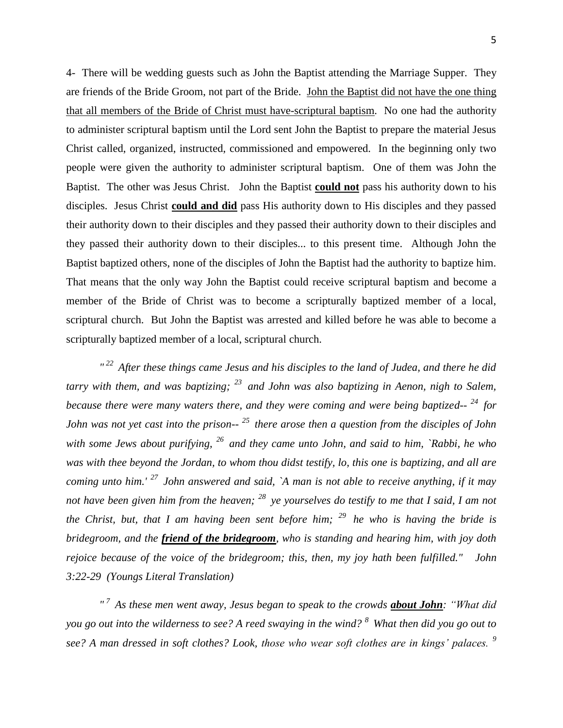4- There will be wedding guests such as John the Baptist attending the Marriage Supper. They

are friends of the Bride Groom, not part of the Bride. John the Baptist did not have the one thing that all members of the Bride of Christ must have-scriptural baptism. No one had the authority to administer scriptural baptism until the Lord sent John the Baptist to prepare the material Jesus Christ called, organized, instructed, commissioned and empowered. In the beginning only two people were given the authority to administer scriptural baptism. One of them was John the Baptist. The other was Jesus Christ. John the Baptist **could not** pass his authority down to his disciples. Jesus Christ **could and did** pass His authority down to His disciples and they passed their authority down to their disciples and they passed their authority down to their disciples and they passed their authority down to their disciples... to this present time. Although John the Baptist baptized others, none of the disciples of John the Baptist had the authority to baptize him. That means that the only way John the Baptist could receive scriptural baptism and become a member of the Bride of Christ was to become a scripturally baptized member of a local, scriptural church. But John the Baptist was arrested and killed before he was able to become a scripturally baptized member of a local, scriptural church.

*" <sup>22</sup>After these things came Jesus and his disciples to the land of Judea, and there he did tarry with them, and was baptizing; <sup>23</sup>and John was also baptizing in Aenon, nigh to Salem, because there were many waters there, and they were coming and were being baptized-- <sup>24</sup>for John was not yet cast into the prison-- <sup>25</sup>there arose then a question from the disciples of John with some Jews about purifying, <sup>26</sup>and they came unto John, and said to him, `Rabbi, he who was with thee beyond the Jordan, to whom thou didst testify, lo, this one is baptizing, and all are coming unto him.' <sup>27</sup>John answered and said, `A man is not able to receive anything, if it may not have been given him from the heaven; <sup>28</sup>ye yourselves do testify to me that I said, I am not the Christ, but, that I am having been sent before him; <sup>29</sup>he who is having the bride is bridegroom, and the friend of the bridegroom, who is standing and hearing him, with joy doth rejoice because of the voice of the bridegroom; this, then, my joy hath been fulfilled." John 3:22-29 (Youngs Literal Translation)*

*" <sup>7</sup>As these men went away, Jesus began to speak to the crowds about John: "What did you go out into the wilderness to see? A reed swaying in the wind? <sup>8</sup>What then did you go out to see? A man dressed in soft clothes? Look, those who wear soft clothes are in kings' palaces. <sup>9</sup>*